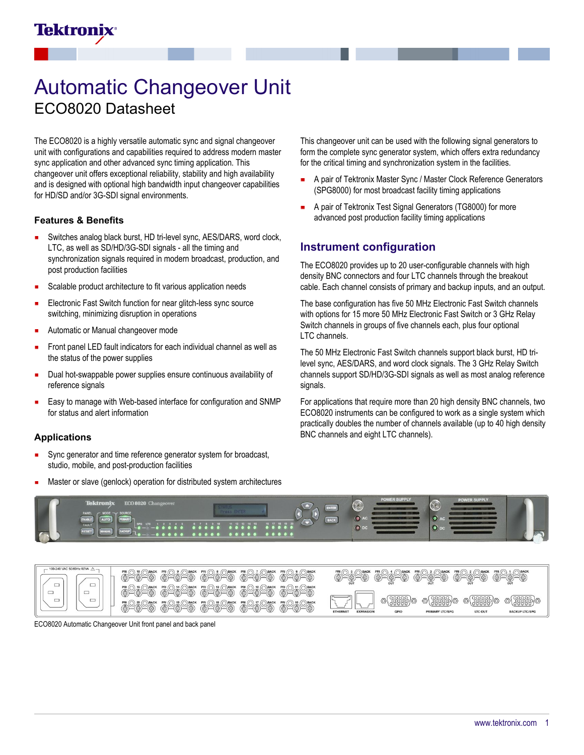# Automatic Changeover Unit ECO8020 Datasheet

The ECO8020 is a highly versatile automatic sync and signal changeover unit with configurations and capabilities required to address modern master sync application and other advanced sync timing application. This changeover unit offers exceptional reliability, stability and high availability and is designed with optional high bandwidth input changeover capabilities for HD/SD and/or 3G-SDI signal environments.

#### **Features & Benefits**

Tektronix

- Switches analog black burst, HD tri-level sync, AES/DARS, word clock, LTC, as well as SD/HD/3G-SDI signals - all the timing and synchronization signals required in modern broadcast, production, and post production facilities
- Scalable product architecture to fit various application needs
- Electronic Fast Switch function for near glitch-less sync source switching, minimizing disruption in operations
- Automatic or Manual changeover mode
- Front panel LED fault indicators for each individual channel as well as the status of the power supplies
- Dual hot-swappable power supplies ensure continuous availability of reference signals
- Easy to manage with Web-based interface for configuration and SNMP for status and alert information

#### **Applications**

- Sync generator and time reference generator system for broadcast, n studio, mobile, and post-production facilities
- Master or slave (genlock) operation for distributed system architectures

This changeover unit can be used with the following signal generators to form the complete sync generator system, which offers extra redundancy for the critical timing and synchronization system in the facilities.

- A pair of Tektronix Master Sync / Master Clock Reference Generators (SPG8000) for most broadcast facility timing applications
- A pair of Tektronix Test Signal Generators (TG8000) for more  $\blacksquare$ advanced post production facility timing applications

### **Instrument configuration**

The ECO8020 provides up to 20 user-configurable channels with high density BNC connectors and four LTC channels through the breakout cable. Each channel consists of primary and backup inputs, and an output.

The base configuration has five 50 MHz Electronic Fast Switch channels with options for 15 more 50 MHz Electronic Fast Switch or 3 GHz Relay Switch channels in groups of five channels each, plus four optional LTC channels.

The 50 MHz Electronic Fast Switch channels support black burst, HD trilevel sync, AES/DARS, and word clock signals. The 3 GHz Relay Switch channels support SD/HD/3G-SDI signals as well as most analog reference signals.

For applications that require more than 20 high density BNC channels, two ECO8020 instruments can be configured to work as a single system which practically doubles the number of channels available (up to 40 high density BNC channels and eight LTC channels).





ECO8020 Automatic Changeover Unit front panel and back panel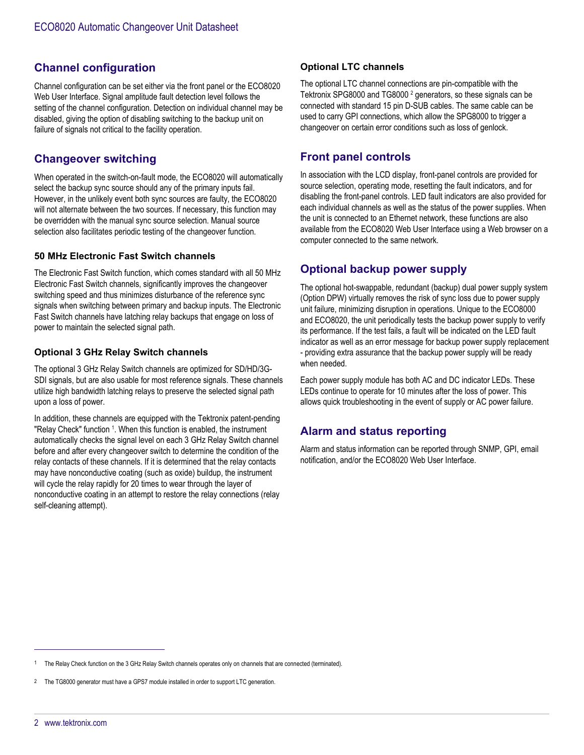# **Channel configuration**

Channel configuration can be set either via the front panel or the ECO8020 Web User Interface. Signal amplitude fault detection level follows the setting of the channel configuration. Detection on individual channel may be disabled, giving the option of disabling switching to the backup unit on failure of signals not critical to the facility operation.

# **Changeover switching**

When operated in the switch-on-fault mode, the ECO8020 will automatically select the backup sync source should any of the primary inputs fail. However, in the unlikely event both sync sources are faulty, the ECO8020 will not alternate between the two sources. If necessary, this function may be overridden with the manual sync source selection. Manual source selection also facilitates periodic testing of the changeover function.

#### **50 MHz Electronic Fast Switch channels**

The Electronic Fast Switch function, which comes standard with all 50 MHz Electronic Fast Switch channels, significantly improves the changeover switching speed and thus minimizes disturbance of the reference sync signals when switching between primary and backup inputs. The Electronic Fast Switch channels have latching relay backups that engage on loss of power to maintain the selected signal path.

#### **Optional 3 GHz Relay Switch channels**

The optional 3 GHz Relay Switch channels are optimized for SD/HD/3G-SDI signals, but are also usable for most reference signals. These channels utilize high bandwidth latching relays to preserve the selected signal path upon a loss of power.

In addition, these channels are equipped with the Tektronix patent-pending "Relay Check" function <sup>1</sup>. When this function is enabled, the instrument automatically checks the signal level on each 3 GHz Relay Switch channel before and after every changeover switch to determine the condition of the relay contacts of these channels. If it is determined that the relay contacts may have nonconductive coating (such as oxide) buildup, the instrument will cycle the relay rapidly for 20 times to wear through the layer of nonconductive coating in an attempt to restore the relay connections (relay self-cleaning attempt).

#### **Optional LTC channels**

The optional LTC channel connections are pin-compatible with the Tektronix SPG8000 and TG8000<sup>2</sup> generators, so these signals can be connected with standard 15 pin D-SUB cables. The same cable can be used to carry GPI connections, which allow the SPG8000 to trigger a changeover on certain error conditions such as loss of genlock.

# **Front panel controls**

In association with the LCD display, front-panel controls are provided for source selection, operating mode, resetting the fault indicators, and for disabling the front-panel controls. LED fault indicators are also provided for each individual channels as well as the status of the power supplies. When the unit is connected to an Ethernet network, these functions are also available from the ECO8020 Web User Interface using a Web browser on a computer connected to the same network.

# **Optional backup power supply**

The optional hot-swappable, redundant (backup) dual power supply system (Option DPW) virtually removes the risk of sync loss due to power supply unit failure, minimizing disruption in operations. Unique to the ECO8000 and ECO8020, the unit periodically tests the backup power supply to verify its performance. If the test fails, a fault will be indicated on the LED fault indicator as well as an error message for backup power supply replacement - providing extra assurance that the backup power supply will be ready when needed.

Each power supply module has both AC and DC indicator LEDs. These LEDs continue to operate for 10 minutes after the loss of power. This allows quick troubleshooting in the event of supply or AC power failure.

# **Alarm and status reporting**

Alarm and status information can be reported through SNMP, GPI, email notification, and/or the ECO8020 Web User Interface.

<sup>1</sup> The Relay Check function on the 3 GHz Relay Switch channels operates only on channels that are connected (terminated).

The TG8000 generator must have a GPS7 module installed in order to support LTC generation.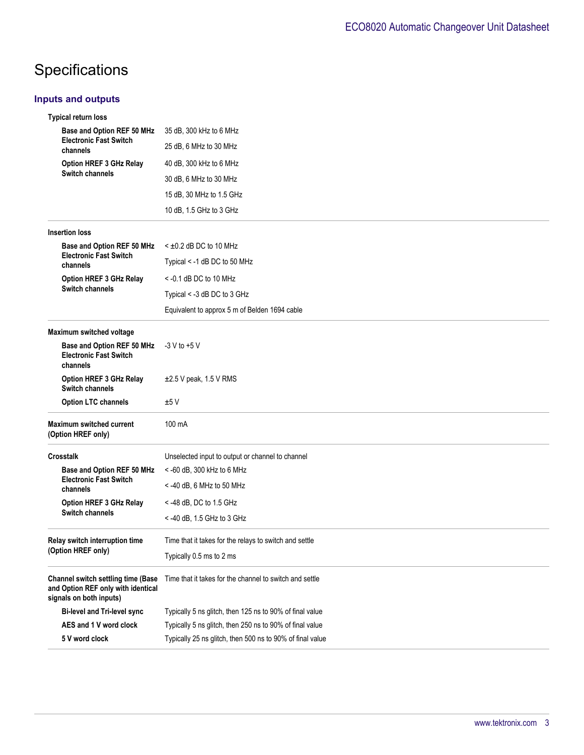# Specifications

### **Inputs and outputs**

| <b>Typical return loss</b>                                                                                 |                                                           |
|------------------------------------------------------------------------------------------------------------|-----------------------------------------------------------|
| Base and Option REF 50 MHz<br><b>Electronic Fast Switch</b><br>channels                                    | 35 dB, 300 kHz to 6 MHz                                   |
|                                                                                                            | 25 dB, 6 MHz to 30 MHz                                    |
| Option HREF 3 GHz Relay                                                                                    | 40 dB, 300 kHz to 6 MHz                                   |
| Switch channels                                                                                            | 30 dB, 6 MHz to 30 MHz                                    |
|                                                                                                            | 15 dB, 30 MHz to 1.5 GHz                                  |
|                                                                                                            | 10 dB, 1.5 GHz to 3 GHz                                   |
| <b>Insertion loss</b>                                                                                      |                                                           |
| Base and Option REF 50 MHz                                                                                 | $\leq \pm 0.2$ dB DC to 10 MHz                            |
| <b>Electronic Fast Switch</b><br>channels                                                                  | Typical < -1 dB DC to 50 MHz                              |
| Option HREF 3 GHz Relay                                                                                    | $<$ -0.1 dB DC to 10 MHz                                  |
| <b>Switch channels</b>                                                                                     | Typical < -3 dB DC to 3 GHz                               |
|                                                                                                            | Equivalent to approx 5 m of Belden 1694 cable             |
| Maximum switched voltage                                                                                   |                                                           |
| Base and Option REF 50 MHz<br><b>Electronic Fast Switch</b><br>channels                                    | $-3$ V to $+5$ V                                          |
| Option HREF 3 GHz Relay<br>Switch channels                                                                 | $\pm 2.5$ V peak, 1.5 V RMS                               |
| <b>Option LTC channels</b>                                                                                 | ±5V                                                       |
| Maximum switched current<br>(Option HREF only)                                                             | 100 mA                                                    |
| <b>Crosstalk</b>                                                                                           | Unselected input to output or channel to channel          |
| Base and Option REF 50 MHz                                                                                 | <- 60 dB, 300 kHz to 6 MHz                                |
| <b>Electronic Fast Switch</b><br>channels                                                                  | $<$ -40 dB, 6 MHz to 50 MHz                               |
| <b>Option HREF 3 GHz Relay</b>                                                                             | $<$ -48 dB, DC to 1.5 GHz                                 |
| Switch channels                                                                                            | < -40 dB, 1.5 GHz to 3 GHz                                |
| Relay switch interruption time                                                                             | Time that it takes for the relays to switch and settle    |
| (Option HREF only)                                                                                         | Typically 0.5 ms to 2 ms                                  |
| <b>Channel switch settling time (Base</b><br>and Option REF only with identical<br>signals on both inputs) | Time that it takes for the channel to switch and settle   |
| <b>Bi-level and Tri-level sync</b>                                                                         | Typically 5 ns glitch, then 125 ns to 90% of final value  |
| AES and 1 V word clock                                                                                     | Typically 5 ns glitch, then 250 ns to 90% of final value  |
| 5 V word clock                                                                                             | Typically 25 ns glitch, then 500 ns to 90% of final value |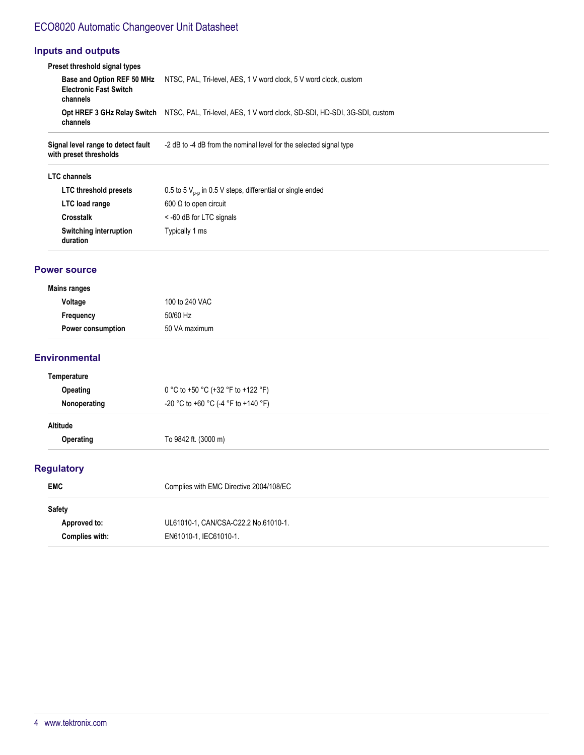# ECO8020 Automatic Changeover Unit Datasheet

#### **Inputs and outputs**

| Preset threshold signal types                                           |                                                                                                       |
|-------------------------------------------------------------------------|-------------------------------------------------------------------------------------------------------|
| Base and Option REF 50 MHz<br><b>Electronic Fast Switch</b><br>channels | NTSC, PAL, Tri-level, AES, 1 V word clock, 5 V word clock, custom                                     |
| channels                                                                | Opt HREF 3 GHz Relay Switch NTSC, PAL, Tri-level, AES, 1 V word clock, SD-SDI, HD-SDI, 3G-SDI, custom |

**Signal level range to detect fault** -2 dB to -4 dB from the nominal level for the selected signal type **with preset thresholds**

#### **LTC channels**

| LTC threshold presets              | 0.5 to 5 $V_{n-n}$ in 0.5 V steps, differential or single ended |
|------------------------------------|-----------------------------------------------------------------|
| LTC load range                     | $600 \Omega$ to open circuit                                    |
| <b>Crosstalk</b>                   | < -60 dB for LTC signals                                        |
| Switching interruption<br>duration | Typically 1 ms                                                  |

#### **Power source**

#### **Mains ranges**

| . .<br>Voltage           | 100 to 240 VAC |
|--------------------------|----------------|
| Frequency                | 50/60 Hz       |
| <b>Power consumption</b> | 50 VA maximum  |

#### **Environmental**

| Temperature       |                                         |
|-------------------|-----------------------------------------|
| Opeating          | 0 °C to +50 °C (+32 °F to +122 °F)      |
| Nonoperating      | -20 °C to +60 °C (-4 °F to +140 °F)     |
| Altitude          |                                         |
| Operating         | To 9842 ft. (3000 m)                    |
| <b>Regulatory</b> |                                         |
| <b>EMC</b>        | Complies with EMC Directive 2004/108/EC |
| $C = 1$           |                                         |

| <b>POLICIA</b> |                                      |
|----------------|--------------------------------------|
| Approved to:   | UL61010-1, CAN/CSA-C22.2 No.61010-1. |
| Complies with: | EN61010-1. IEC61010-1.               |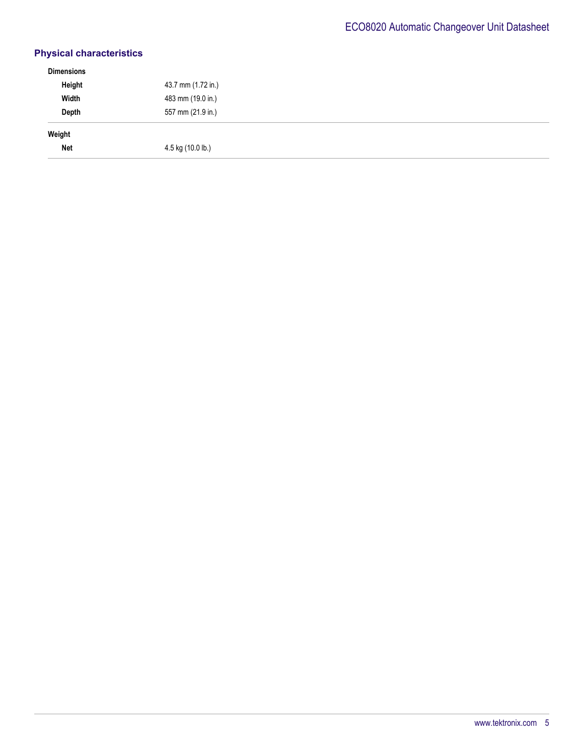# **Physical characteristics**

| <b>Dimensions</b> |                    |  |
|-------------------|--------------------|--|
| Height            | 43.7 mm (1.72 in.) |  |
| Width             | 483 mm (19.0 in.)  |  |
| Depth             | 557 mm (21.9 in.)  |  |
| Weight            |                    |  |
| <b>Net</b>        | 4.5 kg (10.0 lb.)  |  |
|                   |                    |  |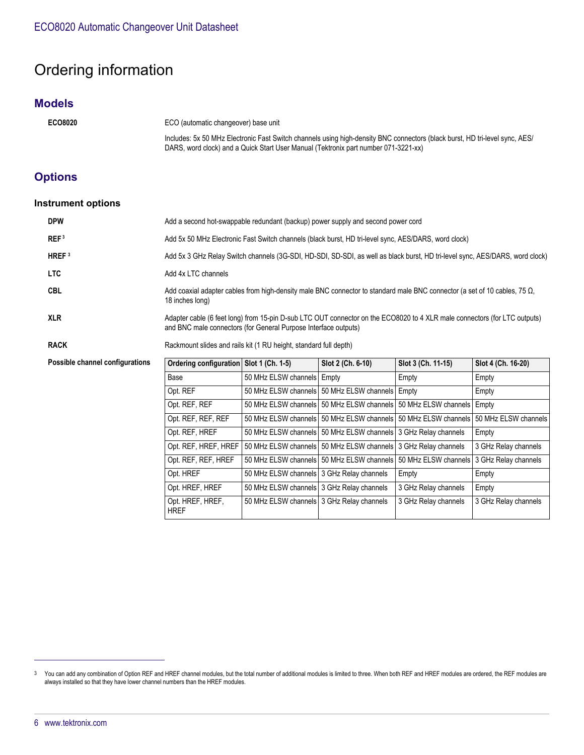# Ordering information

### **Models**

**ECO8020** ECO (automatic changeover) base unit

Includes: 5x 50 MHz Electronic Fast Switch channels using high-density BNC connectors (black burst, HD tri-level sync, AES/ DARS, word clock) and a Quick Start User Manual (Tektronix part number 071-3221-xx)

# **Options**

#### **Instrument options**

| <b>DPW</b>                      | Add a second hot-swappable redundant (backup) power supply and second power cord                                                                                                             |                                             |                                                                            |                      |                      |
|---------------------------------|----------------------------------------------------------------------------------------------------------------------------------------------------------------------------------------------|---------------------------------------------|----------------------------------------------------------------------------|----------------------|----------------------|
| REF <sup>3</sup>                | Add 5x 50 MHz Electronic Fast Switch channels (black burst, HD tri-level sync, AES/DARS, word clock)                                                                                         |                                             |                                                                            |                      |                      |
| HREF $3$                        | Add 5x 3 GHz Relay Switch channels (3G-SDI, HD-SDI, SD-SDI, as well as black burst, HD tri-level sync, AES/DARS, word clock)                                                                 |                                             |                                                                            |                      |                      |
| <b>LTC</b>                      | Add 4x LTC channels                                                                                                                                                                          |                                             |                                                                            |                      |                      |
| <b>CBL</b>                      | Add coaxial adapter cables from high-density male BNC connector to standard male BNC connector (a set of 10 cables, 75 $\Omega$ ,<br>18 inches long)                                         |                                             |                                                                            |                      |                      |
| <b>XLR</b>                      | Adapter cable (6 feet long) from 15-pin D-sub LTC OUT connector on the ECO8020 to 4 XLR male connectors (for LTC outputs)<br>and BNC male connectors (for General Purpose Interface outputs) |                                             |                                                                            |                      |                      |
| <b>RACK</b>                     | Rackmount slides and rails kit (1 RU height, standard full depth)                                                                                                                            |                                             |                                                                            |                      |                      |
| Possible channel configurations | Ordering configuration Slot 1 (Ch. 1-5)                                                                                                                                                      |                                             | Slot 2 (Ch. 6-10)                                                          | Slot 3 (Ch. 11-15)   | Slot 4 (Ch. 16-20)   |
|                                 | Base                                                                                                                                                                                         | 50 MHz ELSW channels                        | Empty                                                                      | Empty                | Empty                |
|                                 | Opt. REF                                                                                                                                                                                     |                                             | 50 MHz ELSW channels   50 MHz ELSW channels   Empty                        |                      | Empty                |
|                                 | Opt. REF, REF                                                                                                                                                                                |                                             | 50 MHz ELSW channels   50 MHz ELSW channels   50 MHz ELSW channels   Empty |                      |                      |
|                                 | Opt. REF, REF, REF                                                                                                                                                                           |                                             | 50 MHz ELSW channels   50 MHz ELSW channels   50 MHz ELSW channels         |                      | 50 MHz ELSW channels |
|                                 | Opt. REF, HREF                                                                                                                                                                               |                                             | 50 MHz ELSW channels   50 MHz ELSW channels   3 GHz Relay channels         |                      | Empty                |
|                                 | Opt. REF, HREF, HREF                                                                                                                                                                         |                                             | 50 MHz ELSW channels 50 MHz ELSW channels 3 GHz Relay channels             |                      | 3 GHz Relay channels |
|                                 | Opt. REF, REF, HREF                                                                                                                                                                          |                                             | 50 MHz ELSW channels   50 MHz ELSW channels   50 MHz ELSW channels         |                      | 3 GHz Relay channels |
|                                 | Opt. HREF                                                                                                                                                                                    | 50 MHz ELSW channels   3 GHz Relay channels |                                                                            | Empty                | Empty                |
|                                 | Opt. HREF, HREF                                                                                                                                                                              | 50 MHz ELSW channels 3 GHz Relay channels   |                                                                            | 3 GHz Relay channels | Empty                |
|                                 | Opt. HREF, HREF,<br><b>HREF</b>                                                                                                                                                              | 50 MHz ELSW channels 3 GHz Relay channels   |                                                                            | 3 GHz Relay channels | 3 GHz Relay channels |

<sup>3</sup> You can add any combination of Option REF and HREF channel modules, but the total number of additional modules is limited to three. When both REF and HREF modules are ordered, the REF modules are always installed so that they have lower channel numbers than the HREF modules.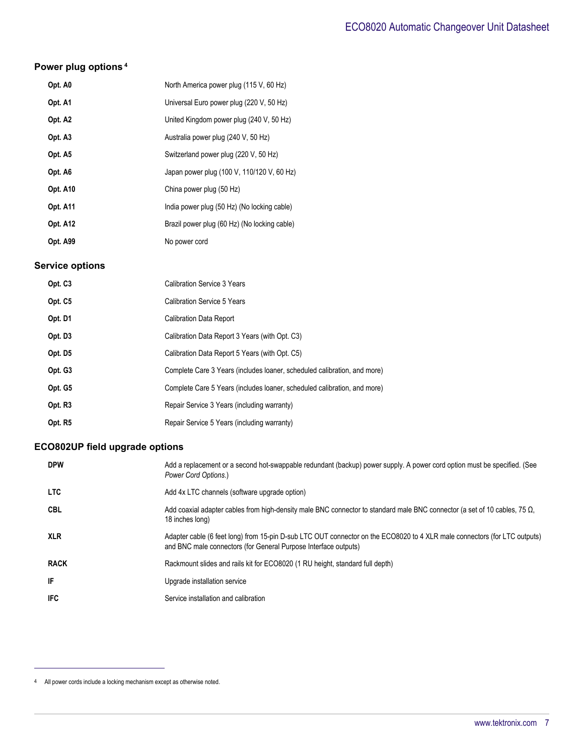# **Power plug options<sup>4</sup>**

| Opt. A0         | North America power plug (115 V, 60 Hz)      |
|-----------------|----------------------------------------------|
| Opt. A1         | Universal Euro power plug (220 V, 50 Hz)     |
| Opt. A2         | United Kingdom power plug (240 V, 50 Hz)     |
| Opt. A3         | Australia power plug (240 V, 50 Hz)          |
| Opt. A5         | Switzerland power plug (220 V, 50 Hz)        |
| Opt. A6         | Japan power plug (100 V, 110/120 V, 60 Hz)   |
| Opt. A10        | China power plug (50 Hz)                     |
| <b>Opt. A11</b> | India power plug (50 Hz) (No locking cable)  |
| <b>Opt. A12</b> | Brazil power plug (60 Hz) (No locking cable) |
| <b>Opt. A99</b> | No power cord                                |

#### **Service options**

| Opt. C <sub>3</sub> | <b>Calibration Service 3 Years</b>                                       |
|---------------------|--------------------------------------------------------------------------|
| Opt. C5             | <b>Calibration Service 5 Years</b>                                       |
| Opt. D1             | <b>Calibration Data Report</b>                                           |
| Opt. D3             | Calibration Data Report 3 Years (with Opt. C3)                           |
| Opt. D <sub>5</sub> | Calibration Data Report 5 Years (with Opt. C5)                           |
| Opt. G3             | Complete Care 3 Years (includes loaner, scheduled calibration, and more) |
| Opt. G5             | Complete Care 5 Years (includes loaner, scheduled calibration, and more) |
| Opt. R <sub>3</sub> | Repair Service 3 Years (including warranty)                              |
| Opt. R5             | Repair Service 5 Years (including warranty)                              |

# **ECO802UP field upgrade options**

| <b>DPW</b>  | Add a replacement or a second hot-swappable redundant (backup) power supply. A power cord option must be specified. (See<br>Power Cord Options.)                                             |
|-------------|----------------------------------------------------------------------------------------------------------------------------------------------------------------------------------------------|
| <b>LTC</b>  | Add 4x LTC channels (software upgrade option)                                                                                                                                                |
| <b>CBL</b>  | Add coaxial adapter cables from high-density male BNC connector to standard male BNC connector (a set of 10 cables, 75 $\Omega$ ,<br>18 inches long)                                         |
| <b>XLR</b>  | Adapter cable (6 feet long) from 15-pin D-sub LTC OUT connector on the ECO8020 to 4 XLR male connectors (for LTC outputs)<br>and BNC male connectors (for General Purpose Interface outputs) |
| <b>RACK</b> | Rackmount slides and rails kit for ECO8020 (1 RU height, standard full depth)                                                                                                                |
| IF          | Upgrade installation service                                                                                                                                                                 |
| IFC         | Service installation and calibration                                                                                                                                                         |

<sup>4</sup> All power cords include a locking mechanism except as otherwise noted.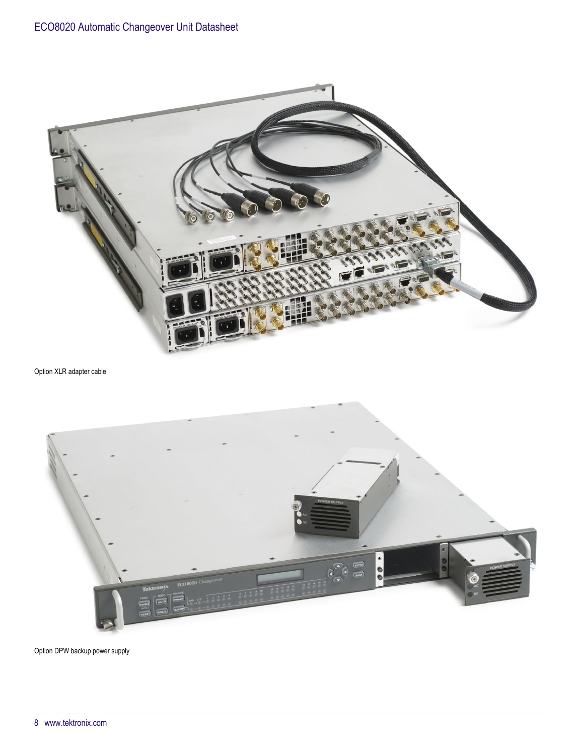

Option XLR adapter cable



Option DPW backup power supply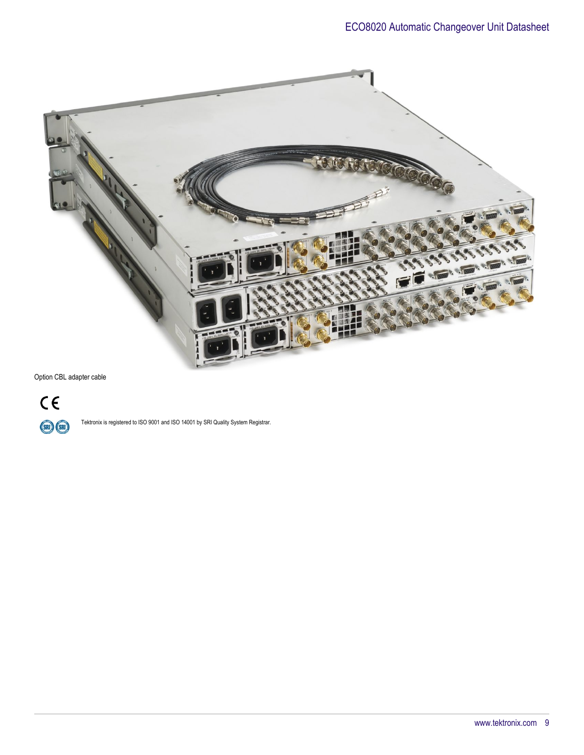

Option CBL adapter cable



Tektronix is registered to ISO 9001 and ISO 14001 by SRI Quality System Registrar.